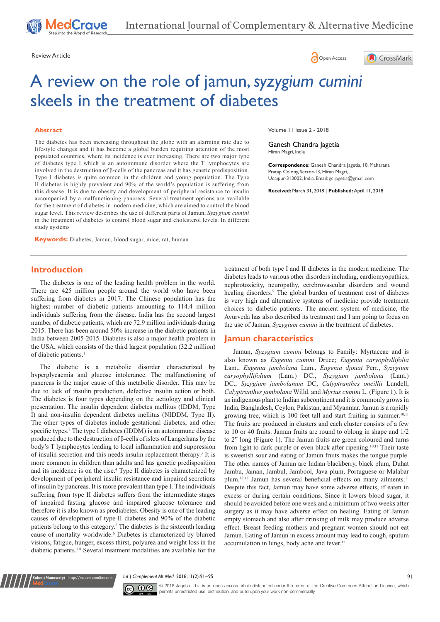



# A review on the role of jamun, *syzygium cumini* skeels in the treatment of diabetes

### **Abstract**

The diabetes has been increasing throughout the globe with an alarming rate due to lifestyle changes and it has become a global burden requiring attention of the most populated countries, where its incidence is ever increasing. There are two major type of diabetes type I which is an autoimmune disorder where the T lymphocytes are involved in the destruction of β-cells of the pancreas and it has genetic predisposition. Type I diabetes is quite common in the children and young population. The Type II diabetes is highly prevalent and 90% of the world's population is suffering from this disease. It is due to obesity and development of peripheral resistance to insulin accompanied by a malfunctioning pancreas. Several treatment options are available for the treatment of diabetes in modern medicine, which are aimed to control the blood sugar level. This review describes the use of different parts of Jamun, *Syzygium cumini* in the treatment of diabetes to control blood sugar and cholesterol levels. In different study systems

**Keywords:** Diabetes, Jamun, blood sugar, mice, rat, human

**Introduction**

The diabetes is one of the leading health problem in the world. There are 425 million people around the world who have been suffering from diabetes in 2017. The Chinese population has the highest number of diabetic patients amounting to 114.4 million individuals suffering from the disease. India has the second largest number of diabetic patients, which are 72.9 million individuals during 2015. There has been around 50% increase in the diabetic patients in India between 2005-2015. Diabetes is also a major health problem in the USA, which consists of the third largest population (32.2 million) of diabetic patients.<sup>1</sup>

The diabetic is a metabolic disorder characterized by hyperglycaemia and glucose intolerance. The malfunctioning of pancreas is the major cause of this metabolic disorder. This may be due to lack of insulin production, defective insulin action or both. The diabetes is four types depending on the aetiology and clinical presentation. The insulin dependent diabetes mellitus (IDDM, Type I) and non-insulin dependent diabetes mellitus (NIDDM, Type II). The other types of diabetes include gestational diabetes, and other specific types.<sup>2</sup> The type I diabetes (IDDM) is an autoimmune disease produced due to the destruction of β-cells of islets of Langerhans by the body's T lymphocytes leading to local inflammation and suppression of insulin secretion and this needs insulin replacement therapy.3 It is more common in children than adults and has genetic predisposition and its incidence is on the rise.4 Type II diabetes is characterized by development of peripheral insulin resistance and impaired secretions of insulin by pancreas. It is more prevalent than type I. The individuals suffering from type II diabetes suffers from the intermediate stages of impaired fasting glucose and impaired glucose tolerance and therefore it is also known as prediabetes. Obesity is one of the leading causes of development of type-II diabetes and 90% of the diabetic patients belong to this category.<sup>5</sup> The diabetes is the sixteenth leading cause of mortality worldwide.<sup>6</sup> Diabetes is characterized by blurred visions, fatigue, hunger, excess thirst, polyurea and weight loss in the diabetic patients.7,8 Several treatment modalities are available for the

Volume 11 Issue 2 - 2018

Ganesh Chandra Jagetia Hiran Magri, India

**Correspondence:** Ganesh Chandra Jagetia, 10, Maharana Pratap Colony, Sector-13, Hiran Magri, Udaipur-313002, India, Email: gc.jagetia@gmail.com

**Received:** March 31, 2018 | **Published:** April 11, 2018

treatment of both type I and II diabetes in the modern medicine. The diabetes leads to various other disorders including, cardiomyopathies, nephrotoxicity, neuropathy, cerebrovascular disorders and wound healing disorders.<sup>9</sup> The global burden of treatment cost of diabetes is very high and alternative systems of medicine provide treatment choices to diabetic patients. The ancient system of medicine, the Ayurveda has also described its treatment and I am going to focus on the use of Jamun, *Syzygium cumini* in the treatment of diabetes.

#### **Jamun characteristics**

Jamun, *Syzygium cumini* belongs to Family: Myrtaceae and is also known as *Eugenia cumini* Druce; *Eugenia caryophyllifolia*  Lam., *Eugenia jambolana* Lam., *Eugenia djouat* Perr., *Syzygium caryophyllifolium* (Lam.) DC., *Syzygium jambolana* (Lam.) DC., *Syzygium jambolanum* DC, *Calyptranthes oneillii* Lundell, *Calyptranthes jambolana* Willd. and *Myrtus cumini* L. (Figure 1). It is an indigenous plant to Indian subcontinent and it is commonly grows in India, Bangladesh, Ceylon, Pakistan, and Myanmar. Jamun is a rapidly growing tree, which is 100 feet tall and start fruiting in summer.<sup>10,11</sup> The fruits are produced in clusters and each cluster consists of a few to 10 or 40 fruits. Jamun fruits are round to oblong in shape and 1/2 to 2" long (Figure 1). The Jamun fruits are green coloured and turns from light to dark purple or even black after ripening.<sup>10,11</sup> Their taste is sweetish sour and eating of Jamun fruits makes the tongue purple. The other names of Jamun are Indian blackberry, black plum, Duhat Jambu, Jaman, Jambul, Jambool, Java plum, Portuguese or Malabar plum.<sup>12,13</sup> Jamun has several beneficial effects on many ailments.<sup>11</sup> Despite this fact, Jamun may have some adverse effects, if eaten in excess or during certain conditions. Since it lowers blood sugar, it should be avoided before one week and a minimum of two weeks after surgery as it may have adverse effect on healing. Eating of Jamun empty stomach and also after drinking of milk may produce adverse effect. Breast feeding mothers and pregnant women should not eat Jamun. Eating of Jamun in excess amount may lead to cough, sputum accumulation in lungs, body ache and fever.<sup>11</sup>

*Int J Complement Alt Med.* 2018;11(2):91‒95 91



**Kubmit Manuscript** | http://medcraveonline.c

© 2018 Jagetia. This is an open access article distributed under the terms of the [Creative Commons Attribution License](https://creativecommons.org/licenses/by-nc/4.0/), which permits unrestricted use, distribution, and build upon your work non-commercially.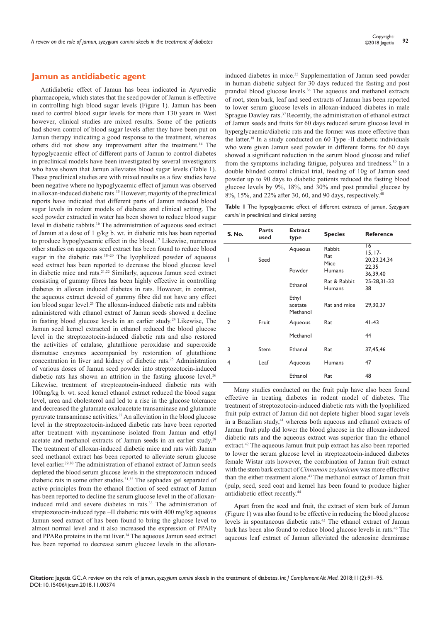# **Jamun as antidiabetic agent**

Antidiabetic effect of Jamun has been indicated in Ayurvedic pharmacopeia, which states that the seed powder of Jamun is effective in controlling high blood sugar levels (Figure 1). Jamun has been used to control blood sugar levels for more than 130 years in West however, clinical studies are mixed results. Some of the patients had shown control of blood sugar levels after they have been put on Jamun therapy indicating a good response to the treatment, whereas others did not show any improvement after the treatment.14 The hypoglycaemic effect of different parts of Jamun to control diabetes in preclinical models have been investigated by several investigators who have shown that Jamun alleviates blood sugar levels (Table 1). These preclinical studies are with mixed results as a few studies have been negative where no hypoglycaemic effect of jamun was observed in alloxan-induced diabetic rats.15 However, majority of the preclinical reports have indicated that different parts of Jamun reduced blood sugar levels in rodent models of diabetes and clinical setting. The seed powder extracted in water has been shown to reduce blood sugar level in diabetic rabbits.16 The administration of aqueous seed extract of Jamun at a dose of 1 g/kg b. wt. in diabetic rats has been reported to produce hypoglycaemic effect in the blood.17 Likewise, numerous other studies on aqueous seed extract has been found to reduce blood sugar in the diabetic rats.<sup>18–20</sup> The lyophilized powder of aqueous seed extract has been reported to decrease the blood glucose level in diabetic mice and rats.21,22 Similarly, aqueous Jamun seed extract consisting of gummy fibres has been highly effective in controlling diabetes in alloxan induced diabetes in rats. However, in contrast, the aqueous extract devoid of gummy fibre did not have any effect ion blood sugar level.<sup>23</sup> The alloxan-induced diabetic rats and rabbits administered with ethanol extract of Jamun seeds showed a decline in fasting blood glucose levels in an earlier study.24 Likewise, The Jamun seed kernel extracted in ethanol reduced the blood glucose level in the streptozotocin-induced diabetic rats and also restored the activities of catalase, glutathione peroxidase and superoxide dismutase enzymes accompanied by restoration of glutathione concentration in liver and kidney of diabetic rats.25 Administration of various doses of Jamun seed powder into streptozotocin-induced diabetic rats has shown an attrition in the fasting glucose level.<sup>26</sup> Likewise, treatment of streptozotocin-induced diabetic rats with 100mg/kg b. wt. seed kernel ethanol extract reduced the blood sugar level, urea and cholesterol and led to a rise in the glucose tolerance and decreased the glutamate oxaloacetate transaminase and glutamate pyruvate transaminase activities.27 An alleviation in the blood glucose level in the streptozotocin-induced diabetic rats have been reported after treatment with mycaminose isolated from Jamun and ethyl acetate and methanol extracts of Jamun seeds in an earlier study.28 The treatment of alloxan-induced diabetic mice and rats with Jamun seed methanol extract has been reported to alleviate serum glucose level earlier.29,30 The administration of ethanol extract of Jamun seeds depleted the blood serum glucose levels in the streptozotocin induced diabetic rats in some other studies.<sup>31,32</sup> The sephadex gel separated of active principles from the ethanol fraction of seed extract of Jamun has been reported to decline the serum glucose level in the of alloxaninduced mild and severe diabetes in rats.<sup>33</sup> The administration of streptozotocin-induced type –II diabetic rats with 400 mg/kg aqueous Jamun seed extract of has been found to bring the glucose level to almost normal level and it also increased the expression of PPARγ and PPAR $\alpha$  proteins in the rat liver.<sup>34</sup> The aqueous Jamun seed extract has been reported to decrease serum glucose levels in the alloxan-

induced diabetes in mice.<sup>35</sup> Supplementation of Jamun seed powder in human diabetic subject for 30 days reduced the fasting and post prandial blood glucose levels.<sup>36</sup> The aqueous and methanol extracts of root, stem bark, leaf and seed extracts of Jamun has been reported to lower serum glucose levels in alloxan-induced diabetes in male Sprague Dawley rats.37 Recently, the administration of ethanol extract of Jamun seeds and fruits for 60 days reduced serum glucose level in hyperglycaemic/diabetic rats and the former was more effective than the latter.38 In a study conducted on 60 Type -II diabetic individuals who were given Jamun seed powder in different forms for 60 days showed a significant reduction in the serum blood glucose and relief from the symptoms including fatigue, polyurea and tiredness.39 In a double blinded control clinical trial, feeding of 10g of Jamun seed powder up to 90 days to diabetic patients reduced the fasting blood glucose levels by 9%, 18%, and 30% and post prandial glucose by 8%, 15%, and 22% after 30, 60, and 90 days, respectively.<sup>40</sup>

**Table 1** The hypoglycaemic effect of different extracts of jamun, *Syzygium cumini* in preclinical and clinical setting

| <b>S. No.</b> | <b>Parts</b><br>used | <b>Extract</b><br>type       | <b>Species</b>                         | <b>Reference</b>                                    |
|---------------|----------------------|------------------------------|----------------------------------------|-----------------------------------------------------|
| I             | Seed                 | Aqueous<br>Powder            | Rabbit<br>Rat<br>Mice<br><b>Humans</b> | 16<br>$15, 17-$<br>20,23,24,34<br>22,35<br>36,39,40 |
|               |                      | Ethanol                      | Rat & Rabbit<br><b>Humans</b>          | 25-28, 31-33<br>38                                  |
|               |                      | Ethyl<br>acetate<br>Methanol | Rat and mice                           | 29,30,37                                            |
| 2             | Fruit                | Aqueous                      | Rat                                    | $41 - 43$                                           |
|               |                      | Methanol                     |                                        | 44                                                  |
| 3             | Stem                 | Ethanol                      | Rat                                    | 37,45,46                                            |
| 4             | Leaf                 | Aqueous                      | Humans                                 | 47                                                  |
|               |                      | Ethanol                      | Rat                                    | 48                                                  |

Many studies conducted on the fruit pulp have also been found effective in treating diabetes in rodent model of diabetes. The treatment of streptozotocin-induced diabetic rats with the lyophilized fruit pulp extract of Jamun did not deplete higher blood sugar levels in a Brazilian study,<sup>41</sup> whereas both aqueous and ethanol extracts of Jamun fruit pulp did lower the blood glucose in the alloxan-induced diabetic rats and the aqueous extract was superior than the ethanol extract.42 The aqueous Jamun fruit pulp extract has also been reported to lower the serum glucose level in streptozotocin-induced diabetes female Wistar rats however, the combination of Jamun fruit extract with the stem bark extract of *Cinnamon zeylanicum* was more effective than the either treatment alone.43 The methanol extract of Jamun fruit (pulp, seed, seed coat and kernel has been found to produce higher antidiabetic effect recently.44

Apart from the seed and fruit, the extract of stem bark of Jamun (Figure 1) was also found to be effective in reducing the blood glucose levels in spontaneous diabetic rats.45 The ethanol extract of Jamun bark has been also found to reduce blood glucose levels in rats.46 The aqueous leaf extract of Jamun alleviated the adenosine deaminase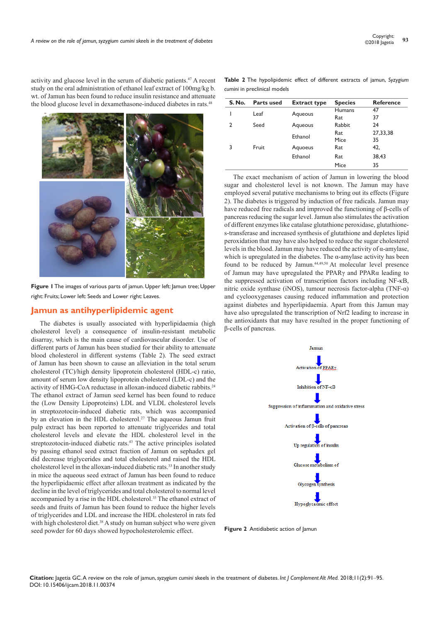activity and glucose level in the serum of diabetic patients.47 A recent study on the oral administration of ethanol leaf extract of 100mg/kg b. wt. of Jamun has been found to reduce insulin resistance and attenuate the blood glucose level in dexamethasone-induced diabetes in rats.<sup>48</sup>



**Figure 1** The images of various parts of jamun. Upper left: Jamun tree; Upper right: Fruits; Lower left: Seeds and Lower right: Leaves.

## **Jamun as antihyperlipidemic agent**

The diabetes is usually associated with hyperlipidaemia (high cholesterol level) a consequence of insulin-resistant metabolic disarray, which is the main cause of cardiovascular disorder. Use of different parts of Jamun has been studied for their ability to attenuate blood cholesterol in different systems (Table 2). The seed extract of Jamun has been shown to cause an alleviation in the total serum cholesterol (TC)/high density lipoprotein cholesterol (HDL-c) ratio, amount of serum low density lipoprotein cholesterol (LDL-c) and the activity of HMG-CoA reductase in alloxan-induced diabetic rabbits.24 The ethanol extract of Jamun seed kernel has been found to reduce the (Low Density Lipoproteins) LDL and VLDL cholesterol levels in streptozotocin-induced diabetic rats, which was accompanied by an elevation in the HDL cholesterol.<sup>27</sup> The aqueous Jamun fruit pulp extract has been reported to attenuate triglycerides and total cholesterol levels and elevate the HDL cholesterol level in the streptozotocin-induced diabetic rats.<sup>43</sup> The active principles isolated by passing ethanol seed extract fraction of Jamun on sephadex gel did decrease triglycerides and total cholesterol and raised the HDL cholesterol level in the alloxan-induced diabetic rats.33 In another study in mice the aqueous seed extract of Jamun has been found to reduce the hyperlipidaemic effect after alloxan treatment as indicated by the decline in the level of triglycerides and total cholesterol to normal level accompanied by a rise in the HDL cholesterol.<sup>35</sup> The ethanol extract of seeds and fruits of Jamun has been found to reduce the higher levels of triglycerides and LDL and increase the HDL cholesterol in rats fed with high cholesterol diet.<sup>38</sup> A study on human subject who were given seed powder for 60 days showed hypocholesterolemic effect.

**Table 2** The hypolipidemic effect of different extracts of jamun, *Syzygium cumini* in preclinical models

| S. No. | <b>Parts used</b> | <b>Extract type</b> | <b>Species</b>       | <b>Reference</b> |
|--------|-------------------|---------------------|----------------------|------------------|
|        | Leaf              | Aqueous             | <b>Humans</b><br>Rat | 47<br>37         |
| 2      | Seed              | Aqueous             | <b>Rabbit</b>        | 24               |
|        |                   | Ethanol             | Rat<br>Mice          | 27,33,38<br>35   |
| 3      | Fruit             | Aquoeus             | Rat                  | 42,              |
|        |                   | Ethanol             | Rat                  | 38,43            |
|        |                   |                     | Mice                 | 35               |

The exact mechanism of action of Jamun in lowering the blood sugar and cholesterol level is not known. The Jamun may have employed several putative mechanisms to bring out its effects (Figure 2). The diabetes is triggered by induction of free radicals. Jamun may have reduced free radicals and improved the functioning of β-cells of pancreas reducing the sugar level. Jamun also stimulates the activation of different enzymes like catalase glutathione peroxidase, glutathiones-transferase and increased synthesis of glutathione and depletes lipid peroxidation that may have also helped to reduce the sugar cholesterol levels in the blood. Jamun may have reduced the activity of α-amylase, which is upregulated in the diabetes. The  $\alpha$ -amylase activity has been found to be reduced by Jamun.<sup>44,49,50</sup> At molecular level presence of Jamun may have upregulated the PPARγ and PPARα leading to the suppressed activation of transcription factors including NF-κB, nitric oxide synthase (iNOS), tumour necrosis factor-alpha (TNF-α) and cyclooxygenases causing reduced inflammation and protection against diabetes and hyperlipidaemia. Apart from this Jamun may have also upregulated the transcription of Nrf2 leading to increase in the antioxidants that may have resulted in the proper functioning of β-cells of pancreas.



**Figure 2** Antidiabetic action of Jamun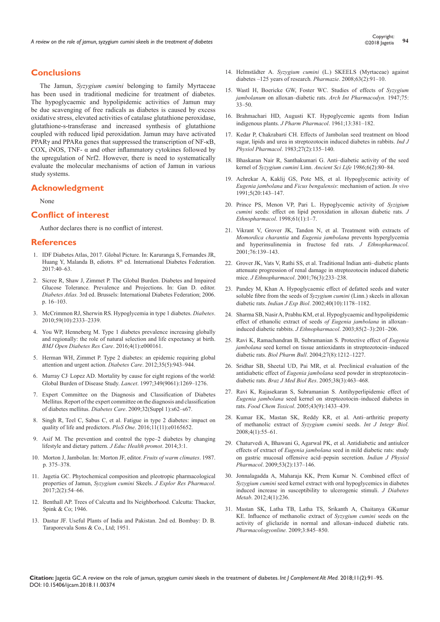# **Conclusions**

The Jamun, *Syzygium cumini* belonging to family Myrtaceae has been used in traditional medicine for treatment of diabetes. The hypoglycaemic and hypolipidemic activities of Jamun may be due scavenging of free radicals as diabetes is caused by excess oxidative stress, elevated activities of catalase glutathione peroxidase, glutathione-s-transferase and increased synthesis of glutathione coupled with reduced lipid peroxidation. Jamun may have activated PPARγ and PPARα genes that suppressed the transcription of NF-κB, COX, iNOS, TNF- $\alpha$  and other inflammatory cytokines followed by the upregulation of Nrf2. However, there is need to systematically evaluate the molecular mechanisms of action of Jamun in various study systems.

## **Acknowledgment**

None

## **Conflict of interest**

Author declares there is no conflict of interest.

#### **References**

- 1. IDF Diabetes Atlas, 2017. Global Picture. In: Karuranga S, Fernandes JR, Huang Y, Malanda B, ediotrs. 8<sup>th</sup> ed. International Diabetes Federation. 2017:40–63.
- 2. Sicree R, Shaw J, Zimmet P. The Global Burden. Diabetes and Impaired Glucose Tolerance. Prevalence and Projections. In: Gan D. editor. *Diabetes Atlas.* 3rd ed. Brussels: International Diabetes Federation; 2006. p. 16–103.
- 3. [McCrimmon RJ, Sherwin RS. Hypoglycemia in type 1 diabetes.](http://diabetes.diabetesjournals.org/content/59/10/2333) *Diabetes*. [2010;59\(10\):2333–2339.](http://diabetes.diabetesjournals.org/content/59/10/2333)
- 4. [You WP, Henneberg M. Type 1 diabetes prevalence increasing globally](https://www.ncbi.nlm.nih.gov/pubmed/26977306)  [and regionally: the role of natural selection and life expectancy at birth.](https://www.ncbi.nlm.nih.gov/pubmed/26977306)  *[BMJ Open Diabetes Res Care](https://www.ncbi.nlm.nih.gov/pubmed/26977306)*. 2016;4(1):e000161.
- 5. [Herman WH, Zimmet P. Type 2 diabetes: an epidemic requiring global](https://www.ncbi.nlm.nih.gov/pubmed/22517937/)  [attention and urgent action.](https://www.ncbi.nlm.nih.gov/pubmed/22517937/) *Diabetes Care*. 2012;35(5):943–944.
- 6. Murray CJ,  [Lopez AD. Mortality by cause for eight regions of the world:](https://www.ncbi.nlm.nih.gov/pubmed/9142060)  [Global Burden of Disease Study.](https://www.ncbi.nlm.nih.gov/pubmed/9142060) *Lancet*. 1997;349(9061):1269–1276.
- 7. [Expert Committee on the Diagnosis and Classification of Diabetes](https://www.ncbi.nlm.nih.gov/pubmed/12502614)  Mellitus. [Report of the expert committee on the diagnosis and classification](https://www.ncbi.nlm.nih.gov/pubmed/12502614)  of diabetes mellitus. *Diabetes Care*[. 2009;32\(Suppl 1\):s62–s67.](https://www.ncbi.nlm.nih.gov/pubmed/12502614)
- 8. [Singh R, Teel C, Sabus C, et al. Fatigue in type 2 diabetes: impact on](https://www.ncbi.nlm.nih.gov/pubmed/27824886)  [quality of life and predictors.](https://www.ncbi.nlm.nih.gov/pubmed/27824886) *PloS One*. 2016;11(11):e0165652.
- 9. [Asif M. The prevention and control the type–2 diabetes by changing](https://www.ncbi.nlm.nih.gov/pubmed/24741641/)  [lifestyle and dietary pattern.](https://www.ncbi.nlm.nih.gov/pubmed/24741641/) *J Educ Health promot*. 2014;3:1.
- 10. Morton J, Jambolan. In: Morton JF, editor. *Fruits of warm climates*. 1987. p. 375–378.
- 11. [Jagetia GC. Phytochemical composition and pleotropic pharmacological](http://www.xiahepublishing.com/ArticleFullText.aspx?sid=2&jid=3&id=10.14218%2FJERP.2016.00038)  properties of Jamun, *Syzygium cumini* Skeels. *[J Explor Res Pharmacol](http://www.xiahepublishing.com/ArticleFullText.aspx?sid=2&jid=3&id=10.14218%2FJERP.2016.00038)*. [2017;2\(2\):54–66.](http://www.xiahepublishing.com/ArticleFullText.aspx?sid=2&jid=3&id=10.14218%2FJERP.2016.00038)
- 12. Benthall AP. Trees of Calcutta and Its Neighborhood. Calcutta: Thacker, Spink & Co; 1946.
- 13. Dastur JF. Useful Plants of India and Pakistan. 2nd ed. Bombay: D. B. Taraporevala Sons & Co., Ltd; 1951.
- 14. Helmstädter A. *Syzygium cumini* [\(L.\) SKEELS \(Myrtaceae\) against](https://www.ncbi.nlm.nih.gov/pubmed/18380393)  [diabetes –125 years of research.](https://www.ncbi.nlm.nih.gov/pubmed/18380393) *Pharmazie*. 2008;63(2):91–10.
- 15. Wastl H, Boericke GW, Foster WC. Studies of effects of *Syzygium jambolanum* on alloxan–diabetic rats. *Arch Int Pharmacodyn.* 1947;75: 33–50.
- 16. Brahmachari HD, Augusti KT. Hypoglycemic agents from Indian indigenous plants. *J Pharm Pharmacol*. 1961;13:381–182.
- 17. [Kedar P, Chakrabarti CH. Effects of Jambolan seed treatment on blood](https://www.ncbi.nlm.nih.gov/pubmed/6885126)  [sugar, lipids and urea in streptozotocin induced diabetes in rabbits.](https://www.ncbi.nlm.nih.gov/pubmed/6885126) *Ind J Physiol Pharmacol*[. 1983;27\(2\):135–140.](https://www.ncbi.nlm.nih.gov/pubmed/6885126)
- 18. [Bhaskaran Nair R, Santhakumari G. Anti–diabetic activity of the seed](https://www.ncbi.nlm.nih.gov/pubmed/22557552)  kernel of *[Syzygium cumini](https://www.ncbi.nlm.nih.gov/pubmed/22557552)* Linn. *Ancient Sci Life* 1986;6(2):80–84.
- 19. [Achrekar A, Kaklij GS, Pote MS, et al. Hypoglycemic activity of](https://www.ncbi.nlm.nih.gov/pubmed/1768783)  *Eugenia jambolana* and *Ficus bengalensis*[: mechanism of action.](https://www.ncbi.nlm.nih.gov/pubmed/1768783) *In vivo* [1991;5\(20:143–147.](https://www.ncbi.nlm.nih.gov/pubmed/1768783)
- 20. [Prince PS, Menon VP, Pari L. Hypoglycemic activity of](https://www.ncbi.nlm.nih.gov/pubmed/9687076) *Syzigium cumini* [seeds: effect on lipid peroxidation in alloxan diabetic rats.](https://www.ncbi.nlm.nih.gov/pubmed/9687076) *J Ethnopharmacol*[. 1998;61\(1\):1–7.](https://www.ncbi.nlm.nih.gov/pubmed/9687076)
- 21. [Vikrant V, Grover JK, Tandon N, et al. Treatment with extracts of](https://www.ncbi.nlm.nih.gov/pubmed/11390126)  *Momordica charantia* and *Eugenia jambolana* [prevents hyperglycemia](https://www.ncbi.nlm.nih.gov/pubmed/11390126)  [and hyperinsulinemia in fructose fed rats.](https://www.ncbi.nlm.nih.gov/pubmed/11390126) *J Ethnopharmacol*. [2001;76:139–143.](https://www.ncbi.nlm.nih.gov/pubmed/11390126)
- 22. [Grover JK, Vats V, Rathi SS, et al. Traditional Indian anti–diabetic plants](https://www.ncbi.nlm.nih.gov/pubmed/11448544)  [attenuate progression of renal damage in streptozotocin induced diabetic](https://www.ncbi.nlm.nih.gov/pubmed/11448544)  mice. *J Ethnopharmacol*[. 2001;76\(3\):233–238.](https://www.ncbi.nlm.nih.gov/pubmed/11448544)
- 23. [Pandey M, Khan A. Hypoglycaemic effect of defatted seeds and water](https://www.ncbi.nlm.nih.gov/pubmed/12693701)  [soluble fibre from the seeds of](https://www.ncbi.nlm.nih.gov/pubmed/12693701) *Syzygium cumini* (Linn.) skeels in alloxan diabetic rats. *Indian J Exp Biol*[. 2002;40\(10\):1178–1182.](https://www.ncbi.nlm.nih.gov/pubmed/12693701)
- 24. [Sharma SB, Nasir A, Prabhu KM, et al. Hypoglycaemic and hypolipidemic](https://www.ncbi.nlm.nih.gov/pubmed/12639741)  [effect of ethanolic extract of seeds](https://www.ncbi.nlm.nih.gov/pubmed/12639741) *of Eugenia jambolana* in alloxan– [induced diabetic rabbits.](https://www.ncbi.nlm.nih.gov/pubmed/12639741) *J Ethnopharmacol*. 2003;85(2–3):201–206.
- 25. [Ravi K, Ramachandran B, Subramanian S. Protective](file:///D:/Mamatha/11-04-2018/IJCAM-11-00374/IJCAM-18-RW-607_W/) effect of *Eugenia jambolana* [seed kernel on tissue antioxidants in streptozotocin–induced](file:///D:/Mamatha/11-04-2018/IJCAM-11-00374/IJCAM-18-RW-607_W/)  diabetic rats. *Biol Pharm Bull*[. 2004;27\(8\):1212–1227.](file:///D:/Mamatha/11-04-2018/IJCAM-11-00374/IJCAM-18-RW-607_W/)
- 26. [Sridhar SB, Sheetal UD, Pai MR, et al. Preclinical evaluation of the](https://www.ncbi.nlm.nih.gov/pubmed/15761627)  antidiabetic effect of *Eugenia jambolana* [seed powder in streptozotocin–](https://www.ncbi.nlm.nih.gov/pubmed/15761627) diabetic rats. *Braz J Med Biol Res*[. 2005;38\(3\):463–468.](https://www.ncbi.nlm.nih.gov/pubmed/15761627)
- 27. [Ravi K, Rajasekaran S, Subramanian S. Antihyperlipidemic effect of](https://www.ncbi.nlm.nih.gov/pubmed/15964674)  *Eugenia jambolana* [seed kernel on streptozotocin–induced diabetes in](https://www.ncbi.nlm.nih.gov/pubmed/15964674)  rats. *Food Chem Toxicol*[. 2005;43\(9\):1433–439.](https://www.ncbi.nlm.nih.gov/pubmed/15964674)
- 28. [Kumar EK, Mastan SK, Reddy KR, et al. Anti–arthritic property](http://ijib.classicrus.com/trns/2480491523431308.pdf)  [of methanolic extract of](http://ijib.classicrus.com/trns/2480491523431308.pdf) *Syzygium cumini* seeds. *Int J Integr Biol*. [2008;4\(1\):55–61.](http://ijib.classicrus.com/trns/2480491523431308.pdf)
- 29. [Chaturvedi A, Bhawani G, Agarwal PK, et al. Antidiabetic and antiulcer](https://www.ncbi.nlm.nih.gov/pubmed/20112817)  effects of extract of *Eugenia jambolana* [seed in mild diabetic rats: study](https://www.ncbi.nlm.nih.gov/pubmed/20112817)  [on gastric mucosal offensive acid–pepsin secretion.](https://www.ncbi.nlm.nih.gov/pubmed/20112817) *Indian J Physiol Pharmacol*[. 2009;53\(2\):137–146.](https://www.ncbi.nlm.nih.gov/pubmed/20112817)
- 30. Jonnalagadda A, Maharaja KK, Prem Kumar N. Combined effect of *Syzygium cumini* seed kernel extract with oral hypoglycemics in diabetes induced increase in susceptibility to ulcerogenic stimuli. *J Diabetes Metab*. 2012;4(1):236.
- 31. Mastan SK, Latha TB, Latha TS, Srikanth A, Chaitanya GKumar KE. Influence of methanolic extract of *Syzygium cumini* seeds on the activity of gliclazide in normal and alloxan–induced diabetic rats. *Pharmacologyonline.* 2009;3:845–850.